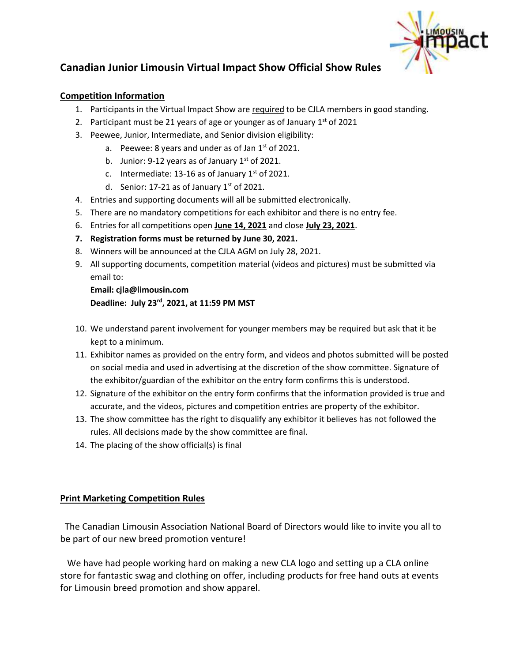

# **Canadian Junior Limousin Virtual Impact Show Official Show Rules**

#### **Competition Information**

- 1. Participants in the Virtual Impact Show are required to be CJLA members in good standing.
- 2. Participant must be 21 years of age or younger as of January  $1<sup>st</sup>$  of 2021
- 3. Peewee, Junior, Intermediate, and Senior division eligibility:
	- a. Peewee: 8 years and under as of Jan  $1<sup>st</sup>$  of 2021.
	- b. Junior: 9-12 years as of January  $1<sup>st</sup>$  of 2021.
	- c. Intermediate: 13-16 as of January  $1<sup>st</sup>$  of 2021.
	- d. Senior: 17-21 as of January  $1<sup>st</sup>$  of 2021.
- 4. Entries and supporting documents will all be submitted electronically.
- 5. There are no mandatory competitions for each exhibitor and there is no entry fee.
- 6. Entries for all competitions open **June 14, 2021** and close **July 23, 2021**.
- **7. Registration forms must be returned by June 30, 2021.**
- 8. Winners will be announced at the CJLA AGM on July 28, 2021.
- 9. All supporting documents, competition material (videos and pictures) must be submitted via email to:

**Email: cjla@limousin.com Deadline: July 23rd, 2021, at 11:59 PM MST**

- 10. We understand parent involvement for younger members may be required but ask that it be kept to a minimum.
- 11. Exhibitor names as provided on the entry form, and videos and photos submitted will be posted on social media and used in advertising at the discretion of the show committee. Signature of the exhibitor/guardian of the exhibitor on the entry form confirms this is understood.
- 12. Signature of the exhibitor on the entry form confirms that the information provided is true and accurate, and the videos, pictures and competition entries are property of the exhibitor.
- 13. The show committee has the right to disqualify any exhibitor it believes has not followed the rules. All decisions made by the show committee are final.
- 14. The placing of the show official(s) is final

## **Print Marketing Competition Rules**

 The Canadian Limousin Association National Board of Directors would like to invite you all to be part of our new breed promotion venture!

 We have had people working hard on making a new CLA logo and setting up a CLA online store for fantastic swag and clothing on offer, including products for free hand outs at events for Limousin breed promotion and show apparel.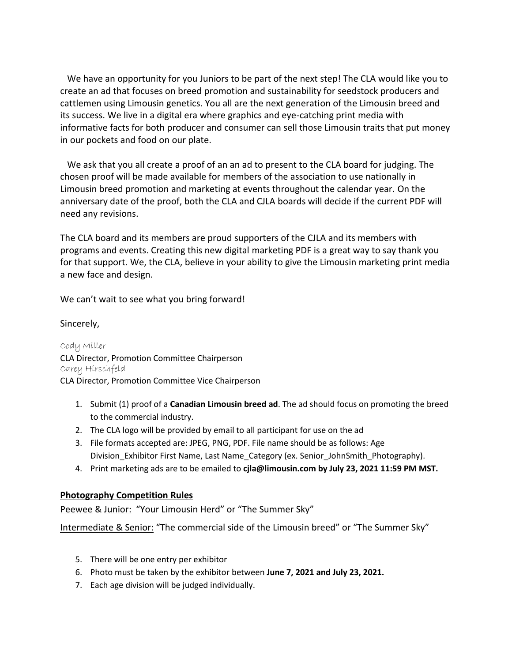We have an opportunity for you Juniors to be part of the next step! The CLA would like you to create an ad that focuses on breed promotion and sustainability for seedstock producers and cattlemen using Limousin genetics. You all are the next generation of the Limousin breed and its success. We live in a digital era where graphics and eye-catching print media with informative facts for both producer and consumer can sell those Limousin traits that put money in our pockets and food on our plate.

 We ask that you all create a proof of an an ad to present to the CLA board for judging. The chosen proof will be made available for members of the association to use nationally in Limousin breed promotion and marketing at events throughout the calendar year. On the anniversary date of the proof, both the CLA and CJLA boards will decide if the current PDF will need any revisions.

The CLA board and its members are proud supporters of the CJLA and its members with programs and events. Creating this new digital marketing PDF is a great way to say thank you for that support. We, the CLA, believe in your ability to give the Limousin marketing print media a new face and design.

We can't wait to see what you bring forward!

#### Sincerely,

Cody Miller CLA Director, Promotion Committee Chairperson Carey Hirschfeld CLA Director, Promotion Committee Vice Chairperson

- 1. Submit (1) proof of a **Canadian Limousin breed ad**. The ad should focus on promoting the breed to the commercial industry.
- 2. The CLA logo will be provided by email to all participant for use on the ad
- 3. File formats accepted are: JPEG, PNG, PDF. File name should be as follows: Age Division Exhibitor First Name, Last Name Category (ex. Senior JohnSmith Photography).
- 4. Print marketing ads are to be emailed to **cjla@limousin.com by July 23, 2021 11:59 PM MST.**

#### **Photography Competition Rules**

Peewee & Junior: "Your Limousin Herd" or "The Summer Sky"

Intermediate & Senior: "The commercial side of the Limousin breed" or "The Summer Sky"

- 5. There will be one entry per exhibitor
- 6. Photo must be taken by the exhibitor between **June 7, 2021 and July 23, 2021.**
- 7. Each age division will be judged individually.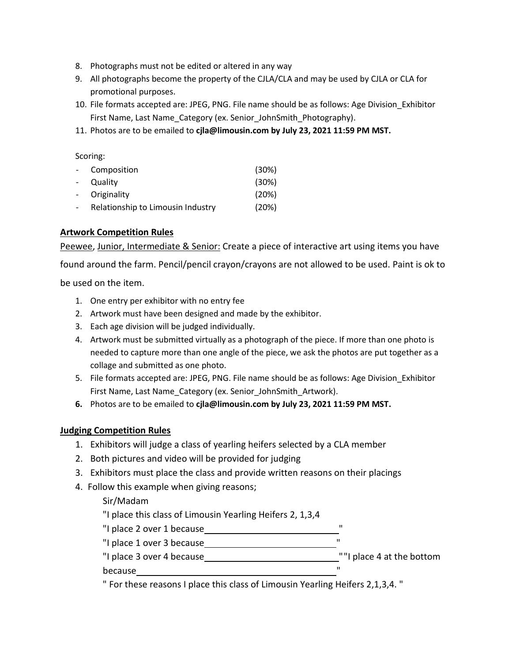- 8. Photographs must not be edited or altered in any way
- 9. All photographs become the property of the CJLA/CLA and may be used by CJLA or CLA for promotional purposes.
- 10. File formats accepted are: JPEG, PNG. File name should be as follows: Age Division\_Exhibitor First Name, Last Name Category (ex. Senior JohnSmith Photography).
- 11. Photos are to be emailed to **cjla@limousin.com by July 23, 2021 11:59 PM MST.**

Scoring:

|                | - Composition                     | (30%) |
|----------------|-----------------------------------|-------|
| $\overline{a}$ | Quality                           | (30%) |
|                | - Originality                     | (20%) |
| $\overline{a}$ | Relationship to Limousin Industry | (20%) |

#### **Artwork Competition Rules**

Peewee, Junior, Intermediate & Senior: Create a piece of interactive art using items you have

found around the farm. Pencil/pencil crayon/crayons are not allowed to be used. Paint is ok to

be used on the item.

- 1. One entry per exhibitor with no entry fee
- 2. Artwork must have been designed and made by the exhibitor.
- 3. Each age division will be judged individually.
- 4. Artwork must be submitted virtually as a photograph of the piece. If more than one photo is needed to capture more than one angle of the piece, we ask the photos are put together as a collage and submitted as one photo.
- 5. File formats accepted are: JPEG, PNG. File name should be as follows: Age Division\_Exhibitor First Name, Last Name Category (ex. Senior JohnSmith Artwork).
- **6.** Photos are to be emailed to **cjla@limousin.com by July 23, 2021 11:59 PM MST.**

#### **Judging Competition Rules**

- 1. Exhibitors will judge a class of yearling heifers selected by a CLA member
- 2. Both pictures and video will be provided for judging
- 3. Exhibitors must place the class and provide written reasons on their placings
- 4. Follow this example when giving reasons;

## Sir/Madam

"I place this class of Limousin Yearling Heifers 2, 1,3,4

- "I place 2 over 1 because
- "I place 1 over 3 because

"I place 3 over 4 because " "I place 4 at the bottom

#### because "

" For these reasons I place this class of Limousin Yearling Heifers 2,1,3,4. "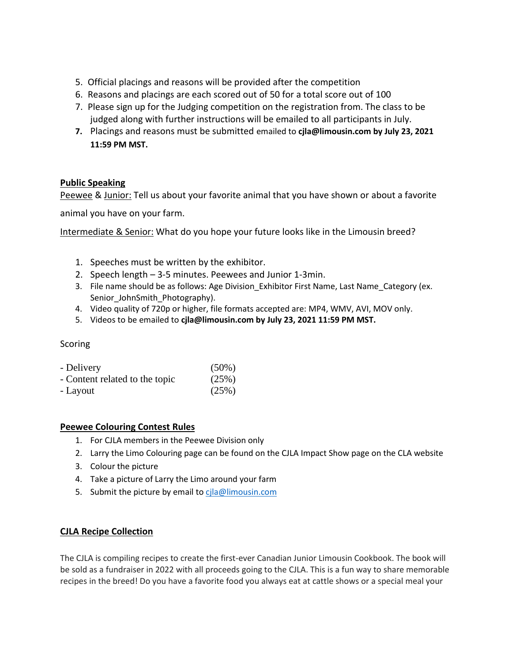- 5. Official placings and reasons will be provided after the competition
- 6. Reasons and placings are each scored out of 50 for a total score out of 100
- 7. Please sign up for the Judging competition on the registration from. The class to be judged along with further instructions will be emailed to all participants in July.
- **7.** Placings and reasons must be submitted emailed to **cjla@limousin.com by July 23, 2021 11:59 PM MST.**

## **Public Speaking**

Peewee & Junior: Tell us about your favorite animal that you have shown or about a favorite

animal you have on your farm.

Intermediate & Senior: What do you hope your future looks like in the Limousin breed?

- 1. Speeches must be written by the exhibitor.
- 2. Speech length 3-5 minutes. Peewees and Junior 1-3min.
- 3. File name should be as follows: Age Division Exhibitor First Name, Last Name Category (ex. Senior JohnSmith Photography).
- 4. Video quality of 720p or higher, file formats accepted are: MP4, WMV, AVI, MOV only.
- 5. Videos to be emailed to **cjla@limousin.com by July 23, 2021 11:59 PM MST.**

## Scoring

| - Delivery                     | $(50\%)$ |
|--------------------------------|----------|
| - Content related to the topic | (25%)    |
| - Layout                       | (25%)    |

#### **Peewee Colouring Contest Rules**

- 1. For CJLA members in the Peewee Division only
- 2. Larry the Limo Colouring page can be found on the CJLA Impact Show page on the CLA website
- 3. Colour the picture
- 4. Take a picture of Larry the Limo around your farm
- 5. Submit the picture by email to [cjla@limousin.com](mailto:cjla@limousin.com)

## **CJLA Recipe Collection**

The CJLA is compiling recipes to create the first-ever Canadian Junior Limousin Cookbook. The book will be sold as a fundraiser in 2022 with all proceeds going to the CJLA. This is a fun way to share memorable recipes in the breed! Do you have a favorite food you always eat at cattle shows or a special meal your